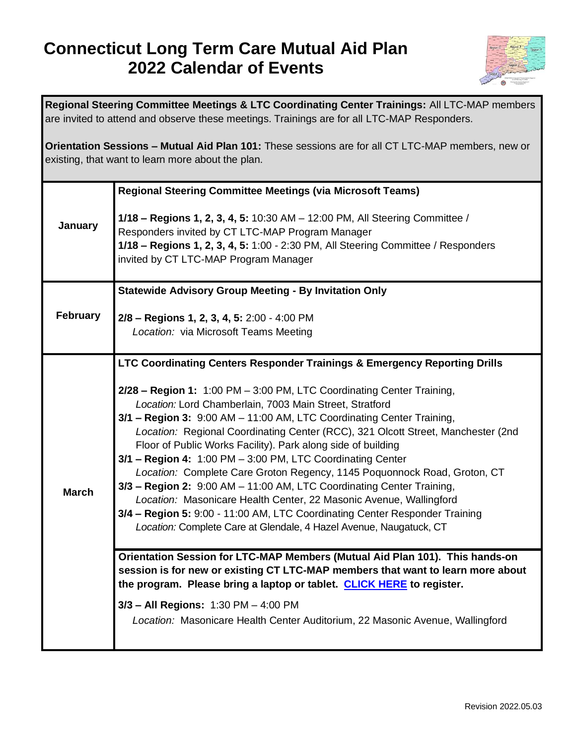## **Connecticut Long Term Care Mutual Aid Plan 2022 Calendar of Events**



| Regional Steering Committee Meetings & LTC Coordinating Center Trainings: All LTC-MAP members<br>are invited to attend and observe these meetings. Trainings are for all LTC-MAP Responders. |                                                                                                                                                                                                                                                                                                                                                                                                                                                                                                                                                                                                                                                                                                                                                                                                                                                                                          |  |
|----------------------------------------------------------------------------------------------------------------------------------------------------------------------------------------------|------------------------------------------------------------------------------------------------------------------------------------------------------------------------------------------------------------------------------------------------------------------------------------------------------------------------------------------------------------------------------------------------------------------------------------------------------------------------------------------------------------------------------------------------------------------------------------------------------------------------------------------------------------------------------------------------------------------------------------------------------------------------------------------------------------------------------------------------------------------------------------------|--|
| Orientation Sessions - Mutual Aid Plan 101: These sessions are for all CT LTC-MAP members, new or<br>existing, that want to learn more about the plan.                                       |                                                                                                                                                                                                                                                                                                                                                                                                                                                                                                                                                                                                                                                                                                                                                                                                                                                                                          |  |
| January                                                                                                                                                                                      | <b>Regional Steering Committee Meetings (via Microsoft Teams)</b><br>1/18 - Regions 1, 2, 3, 4, 5: 10:30 AM - 12:00 PM, All Steering Committee /<br>Responders invited by CT LTC-MAP Program Manager<br>1/18 - Regions 1, 2, 3, 4, 5: 1:00 - 2:30 PM, All Steering Committee / Responders<br>invited by CT LTC-MAP Program Manager                                                                                                                                                                                                                                                                                                                                                                                                                                                                                                                                                       |  |
| <b>February</b>                                                                                                                                                                              | <b>Statewide Advisory Group Meeting - By Invitation Only</b><br>2/8 - Regions 1, 2, 3, 4, 5: 2:00 - 4:00 PM<br>Location: via Microsoft Teams Meeting                                                                                                                                                                                                                                                                                                                                                                                                                                                                                                                                                                                                                                                                                                                                     |  |
| <b>March</b>                                                                                                                                                                                 | LTC Coordinating Centers Responder Trainings & Emergency Reporting Drills<br>2/28 - Region 1: 1:00 PM - 3:00 PM, LTC Coordinating Center Training,<br>Location: Lord Chamberlain, 7003 Main Street, Stratford<br>3/1 - Region 3: 9:00 AM - 11:00 AM, LTC Coordinating Center Training,<br>Location: Regional Coordinating Center (RCC), 321 Olcott Street, Manchester (2nd<br>Floor of Public Works Facility). Park along side of building<br>3/1 - Region 4: 1:00 PM - 3:00 PM, LTC Coordinating Center<br>Location: Complete Care Groton Regency, 1145 Poquonnock Road, Groton, CT<br>3/3 - Region 2: 9:00 AM - 11:00 AM, LTC Coordinating Center Training,<br>Location: Masonicare Health Center, 22 Masonic Avenue, Wallingford<br>3/4 - Region 5: 9:00 - 11:00 AM, LTC Coordinating Center Responder Training<br>Location: Complete Care at Glendale, 4 Hazel Avenue, Naugatuck, CT |  |
|                                                                                                                                                                                              | Orientation Session for LTC-MAP Members (Mutual Aid Plan 101). This hands-on<br>session is for new or existing CT LTC-MAP members that want to learn more about<br>the program. Please bring a laptop or tablet. CLICK HERE to register.<br>3/3 - All Regions: 1:30 PM - 4:00 PM<br>Location: Masonicare Health Center Auditorium, 22 Masonic Avenue, Wallingford                                                                                                                                                                                                                                                                                                                                                                                                                                                                                                                        |  |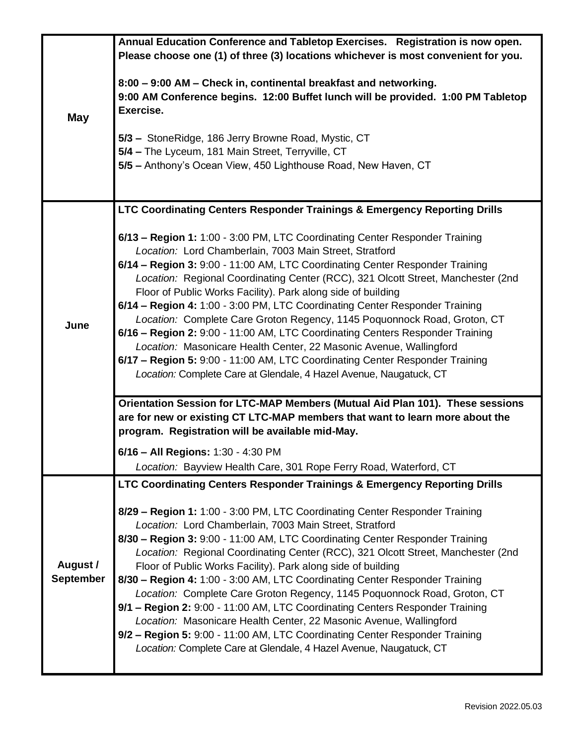|                              | Annual Education Conference and Tabletop Exercises. Registration is now open.                                                                                     |
|------------------------------|-------------------------------------------------------------------------------------------------------------------------------------------------------------------|
| <b>May</b>                   | Please choose one (1) of three (3) locations whichever is most convenient for you.                                                                                |
|                              | 8:00 - 9:00 AM - Check in, continental breakfast and networking.<br>9:00 AM Conference begins. 12:00 Buffet lunch will be provided. 1:00 PM Tabletop<br>Exercise. |
|                              |                                                                                                                                                                   |
|                              | 5/3 - StoneRidge, 186 Jerry Browne Road, Mystic, CT                                                                                                               |
|                              | 5/4 - The Lyceum, 181 Main Street, Terryville, CT                                                                                                                 |
|                              | 5/5 - Anthony's Ocean View, 450 Lighthouse Road, New Haven, CT                                                                                                    |
|                              |                                                                                                                                                                   |
|                              | LTC Coordinating Centers Responder Trainings & Emergency Reporting Drills                                                                                         |
| June                         | 6/13 - Region 1: 1:00 - 3:00 PM, LTC Coordinating Center Responder Training                                                                                       |
|                              | Location: Lord Chamberlain, 7003 Main Street, Stratford<br>6/14 - Region 3: 9:00 - 11:00 AM, LTC Coordinating Center Responder Training                           |
|                              | Location: Regional Coordinating Center (RCC), 321 Olcott Street, Manchester (2nd                                                                                  |
|                              | Floor of Public Works Facility). Park along side of building                                                                                                      |
|                              | 6/14 - Region 4: 1:00 - 3:00 PM, LTC Coordinating Center Responder Training                                                                                       |
|                              | Location: Complete Care Groton Regency, 1145 Poquonnock Road, Groton, CT                                                                                          |
|                              | 6/16 - Region 2: 9:00 - 11:00 AM, LTC Coordinating Centers Responder Training                                                                                     |
|                              | Location: Masonicare Health Center, 22 Masonic Avenue, Wallingford                                                                                                |
|                              | 6/17 - Region 5: 9:00 - 11:00 AM, LTC Coordinating Center Responder Training                                                                                      |
|                              | Location: Complete Care at Glendale, 4 Hazel Avenue, Naugatuck, CT                                                                                                |
|                              | Orientation Session for LTC-MAP Members (Mutual Aid Plan 101). These sessions                                                                                     |
|                              | are for new or existing CT LTC-MAP members that want to learn more about the                                                                                      |
|                              | program. Registration will be available mid-May.                                                                                                                  |
|                              | 6/16 - All Regions: 1:30 - 4:30 PM                                                                                                                                |
|                              | Location: Bayview Health Care, 301 Rope Ferry Road, Waterford, CT                                                                                                 |
| August /<br><b>September</b> | LTC Coordinating Centers Responder Trainings & Emergency Reporting Drills                                                                                         |
|                              | 8/29 - Region 1: 1:00 - 3:00 PM, LTC Coordinating Center Responder Training<br>Location: Lord Chamberlain, 7003 Main Street, Stratford                            |
|                              | 8/30 - Region 3: 9:00 - 11:00 AM, LTC Coordinating Center Responder Training                                                                                      |
|                              | Location: Regional Coordinating Center (RCC), 321 Olcott Street, Manchester (2nd                                                                                  |
|                              | Floor of Public Works Facility). Park along side of building                                                                                                      |
|                              | 8/30 - Region 4: 1:00 - 3:00 AM, LTC Coordinating Center Responder Training                                                                                       |
|                              | Location: Complete Care Groton Regency, 1145 Poquonnock Road, Groton, CT                                                                                          |
|                              | 9/1 - Region 2: 9:00 - 11:00 AM, LTC Coordinating Centers Responder Training                                                                                      |
|                              | Location: Masonicare Health Center, 22 Masonic Avenue, Wallingford<br>9/2 - Region 5: 9:00 - 11:00 AM, LTC Coordinating Center Responder Training                 |
|                              | Location: Complete Care at Glendale, 4 Hazel Avenue, Naugatuck, CT                                                                                                |
|                              |                                                                                                                                                                   |